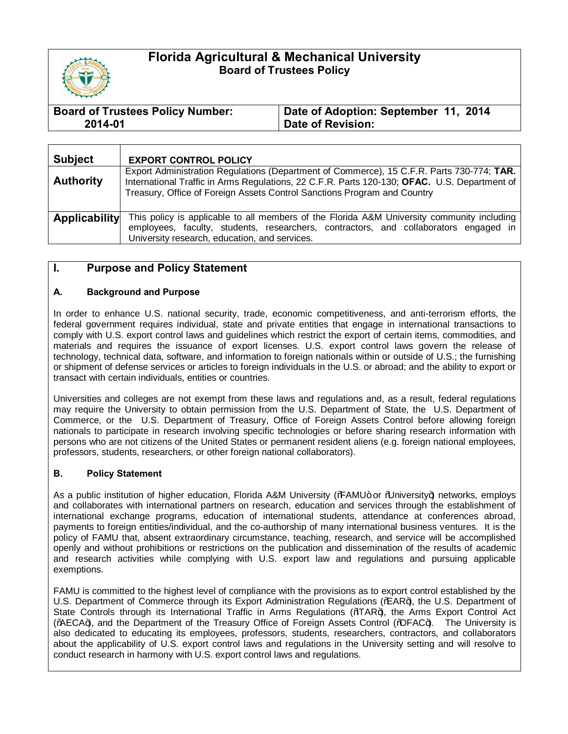

# **Florida Agricultural & Mechanical University Board of Trustees Policy**

| <b>Board of Trustees Policy Number:</b> | Date of Adoption: September 11, 2014 |
|-----------------------------------------|--------------------------------------|
| 2014-01                                 | Date of Revision:                    |

| <b>Subject</b>       | <b>EXPORT CONTROL POLICY</b>                                                                                                                                                                                                                                          |
|----------------------|-----------------------------------------------------------------------------------------------------------------------------------------------------------------------------------------------------------------------------------------------------------------------|
| <b>Authority</b>     | Export Administration Regulations (Department of Commerce), 15 C.F.R. Parts 730-774; TAR.<br>International Traffic in Arms Regulations, 22 C.F.R. Parts 120-130; OFAC. U.S. Department of<br>Treasury, Office of Foreign Assets Control Sanctions Program and Country |
| <b>Applicability</b> | This policy is applicable to all members of the Florida A&M University community including<br>employees, faculty, students, researchers, contractors, and collaborators engaged in<br>University research, education, and services.                                   |

## **I. Purpose and Policy Statement**

#### **A. Background and Purpose**

In order to enhance U.S. national security, trade, economic competitiveness, and anti-terrorism efforts, the federal government requires individual, state and private entities that engage in international transactions to comply with U.S. export control laws and guidelines which restrict the export of certain items, commodities, and materials and requires the issuance of export licenses. U.S. export control laws govern the release of technology, technical data, software, and information to foreign nationals within or outside of U.S.; the furnishing or shipment of defense services or articles to foreign individuals in the U.S. or abroad; and the ability to export or transact with certain individuals, entities or countries.

Universities and colleges are not exempt from these laws and regulations and, as a result, federal regulations may require the University to obtain permission from the U.S. Department of State, the U.S. Department of Commerce, or the U.S. Department of Treasury, Office of Foreign Assets Control before allowing foreign nationals to participate in research involving specific technologies or before sharing research information with persons who are not citizens of the United States or permanent resident aliens (e.g. foreign national employees, professors, students, researchers, or other foreign national collaborators).

#### **B. Policy Statement**

As a public institution of higher education, Florida A&M University (‰AMU+ or %Jniversity+) networks, employs and collaborates with international partners on research, education and services through the establishment of international exchange programs, education of international students, attendance at conferences abroad, payments to foreign entities/individual, and the co-authorship of many international business ventures. It is the policy of FAMU that, absent extraordinary circumstance, teaching, research, and service will be accomplished openly and without prohibitions or restrictions on the publication and dissemination of the results of academic and research activities while complying with U.S. export law and regulations and pursuing applicable exemptions.

FAMU is committed to the highest level of compliance with the provisions as to export control established by the U.S. Department of Commerce through its Export Administration Regulations (%EAR+), the U.S. Department of State Controls through its International Traffic in Arms Regulations (%TAR+), the Arms Export Control Act (%ECA+), and the Department of the Treasury Office of Foreign Assets Control (%PFAC+). The University is also dedicated to educating its employees, professors, students, researchers, contractors, and collaborators about the applicability of U.S. export control laws and regulations in the University setting and will resolve to conduct research in harmony with U.S. export control laws and regulations.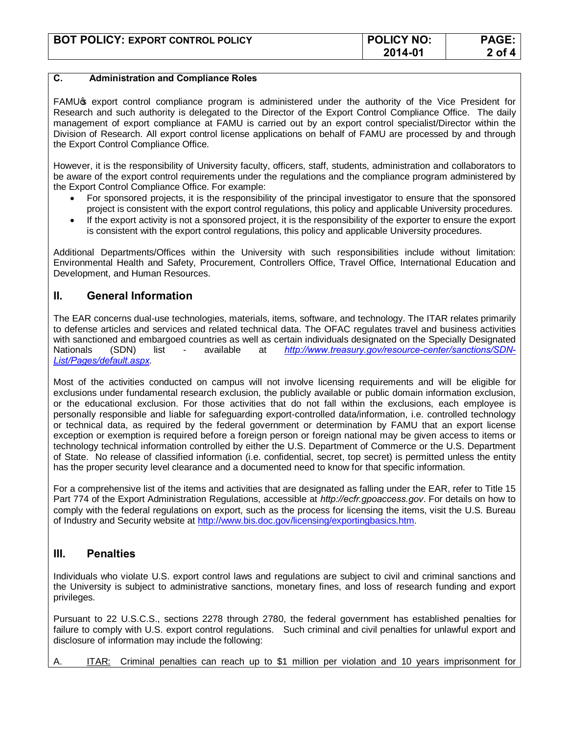| <b>BOT POLICY: EXPORT CONTROL POLICY</b> | <b>POLICY NO:</b> | <b>PAGE</b> |
|------------------------------------------|-------------------|-------------|
|                                          | 2014-01           | 2 of        |

### **C. Administration and Compliance Roles**

FAMU<sub>®</sub> export control compliance program is administered under the authority of the Vice President for Research and such authority is delegated to the Director of the Export Control Compliance Office. The daily management of export compliance at FAMU is carried out by an export control specialist/Director within the Division of Research. All export control license applications on behalf of FAMU are processed by and through the Export Control Compliance Office.

However, it is the responsibility of University faculty, officers, staff, students, administration and collaborators to be aware of the export control requirements under the regulations and the compliance program administered by the Export Control Compliance Office. For example:

- · For sponsored projects, it is the responsibility of the principal investigator to ensure that the sponsored project is consistent with the export control regulations, this policy and applicable University procedures.
- · If the export activity is not a sponsored project, it is the responsibility of the exporter to ensure the export is consistent with the export control regulations, this policy and applicable University procedures.

Additional Departments/Offices within the University with such responsibilities include without limitation: Environmental Health and Safety, Procurement, Controllers Office, Travel Office, International Education and Development, and Human Resources.

## **II. General Information**

The EAR concerns dual-use technologies, materials, items, software, and technology. The ITAR relates primarily to defense articles and services and related technical data. The OFAC regulates travel and business activities with sanctioned and embargoed countries as well as certain individuals designated on the Specially Designated Nationals (SDN) list - available at *[http://www.treasury.gov/resource-center/sanctions/SDN-](http://www.treasury.gov/resource-center/sanctions/SDN-List/Pages/default.aspx)[List/Pages/default.aspx.](http://www.treasury.gov/resource-center/sanctions/SDN-List/Pages/default.aspx)*

Most of the activities conducted on campus will not involve licensing requirements and will be eligible for exclusions under fundamental research exclusion, the publicly available or public domain information exclusion, or the educational exclusion. For those activities that do not fall within the exclusions, each employee is personally responsible and liable for safeguarding export-controlled data/information, i.e. controlled technology or technical data, as required by the federal government or determination by FAMU that an export license exception or exemption is required before a foreign person or foreign national may be given access to items or technology technical information controlled by either the U.S. Department of Commerce or the U.S. Department of State. No release of classified information (i.e. confidential, secret, top secret) is permitted unless the entity has the proper security level clearance and a documented need to know for that specific information.

For a comprehensive list of the items and activities that are designated as falling under the EAR, refer to Title 15 Part 774 of the Export Administration Regulations, accessible at *http://ecfr.gpoaccess.gov*. For details on how to comply with the federal regulations on export, such as the process for licensing the items, visit the U.S. Bureau of Industry and Security website at [http://www.bis.doc.gov/licensing/exportingbasics.htm.](http://www.bis.doc.gov/licensing/exportingbasics.htm) 

### **III. Penalties**

Individuals who violate U.S. export control laws and regulations are subject to civil and criminal sanctions and the University is subject to administrative sanctions, monetary fines, and loss of research funding and export privileges.

Pursuant to 22 U.S.C.S., sections 2278 through 2780, the federal government has established penalties for failure to comply with U.S. export control regulations. Such criminal and civil penalties for unlawful export and disclosure of information may include the following:

A. ITAR: Criminal penalties can reach up to \$1 million per violation and 10 years imprisonment for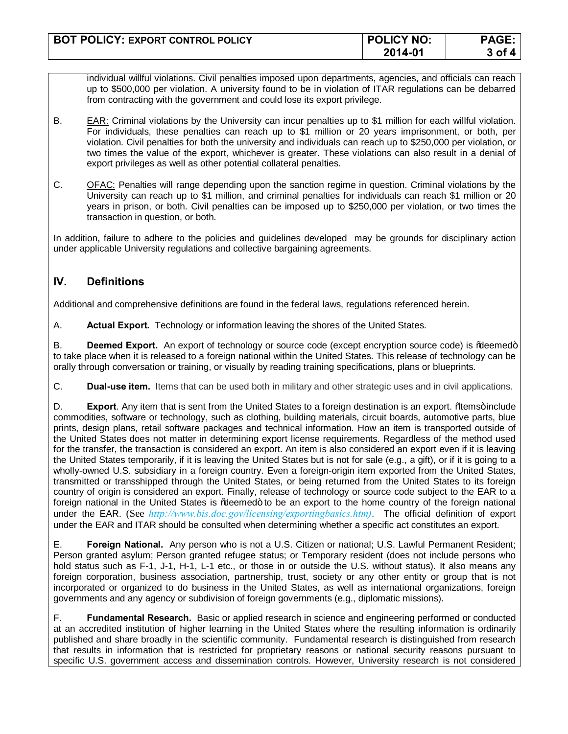| <b>BOT POLICY: EXPORT CONTROL POLICY</b> | <b>POLICY NO:</b> | PAGE:         |
|------------------------------------------|-------------------|---------------|
|                                          | 2014-01           | $3$ of $\sim$ |

individual willful violations. Civil penalties imposed upon departments, agencies, and officials can reach up to \$500,000 per violation. A university found to be in violation of ITAR regulations can be debarred from contracting with the government and could lose its export privilege.

- B. EAR: Criminal violations by the University can incur penalties up to \$1 million for each willful violation. For individuals, these penalties can reach up to \$1 million or 20 years imprisonment, or both, per violation. Civil penalties for both the university and individuals can reach up to \$250,000 per violation, or two times the value of the export, whichever is greater. These violations can also result in a denial of export privileges as well as other potential collateral penalties.
- C. OFAC: Penalties will range depending upon the sanction regime in question. Criminal violations by the University can reach up to \$1 million, and criminal penalties for individuals can reach \$1 million or 20 years in prison, or both. Civil penalties can be imposed up to \$250,000 per violation, or two times the transaction in question, or both.

In addition, failure to adhere to the policies and guidelines developed may be grounds for disciplinary action under applicable University regulations and collective bargaining agreements.

# **IV. Definitions**

Additional and comprehensive definitions are found in the federal laws, regulations referenced herein.

A. **Actual Export.** Technology or information leaving the shores of the United States.

B. **Deemed Export.** An export of technology or source code (except encryption source code) is % beemed + to take place when it is released to a foreign national within the United States. This release of technology can be orally through conversation or training, or visually by reading training specifications, plans or blueprints.

C. **Dual-use item.** Items that can be used both in military and other strategic uses and in civil applications.

D. **Export**. Any item that is sent from the United States to a foreign destination is an export. Whems+include commodities, software or technology, such as clothing, building materials, circuit boards, automotive parts, blue prints, design plans, retail software packages and technical information. How an item is transported outside of the United States does not matter in determining export license requirements. Regardless of the method used for the transfer, the transaction is considered an export. An item is also considered an export even if it is leaving the United States temporarily, if it is leaving the United States but is not for sale (e.g., a gift), or if it is going to a wholly-owned U.S. subsidiary in a foreign country. Even a foreign-origin item exported from the United States, transmitted or transshipped through the United States, or being returned from the United States to its foreign country of origin is considered an export. Finally, release of technology or source code subject to the EAR to a foreign national in the United States is % deemed+ to be an export to the home country of the foreign national under the EAR. (See *http://www.bis.doc.gov/licensing/exportingbasics.htm)*. The official definition of export under the EAR and ITAR should be consulted when determining whether a specific act constitutes an export.

E. **Foreign National.** Any person who is not a U.S. Citizen or national; U.S. Lawful Permanent Resident; Person granted asylum; Person granted refugee status; or Temporary resident (does not include persons who hold status such as F-1, J-1, H-1, L-1 etc., or those in or outside the U.S. without status). It also means any foreign corporation, business association, partnership, trust, society or any other entity or group that is not incorporated or organized to do business in the United States, as well as international organizations, foreign governments and any agency or subdivision of foreign governments (e.g., diplomatic missions).

F. **Fundamental Research.** Basic or applied research in science and engineering performed or conducted at an accredited institution of higher learning in the United States where the resulting information is ordinarily published and share broadly in the scientific community. Fundamental research is distinguished from research that results in information that is restricted for proprietary reasons or national security reasons pursuant to specific U.S. government access and dissemination controls. However, University research is not considered